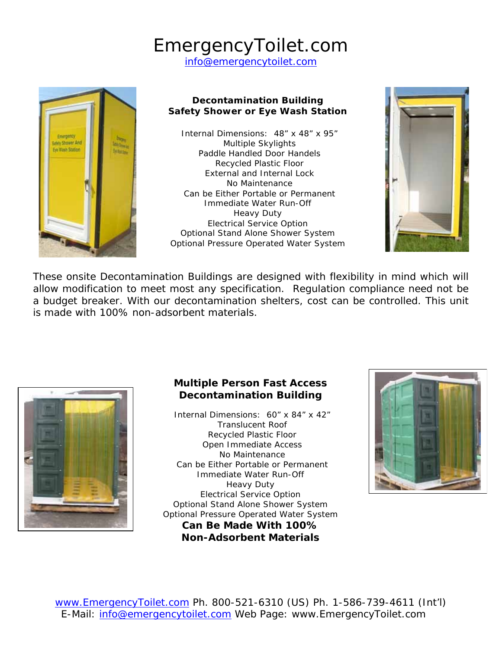# EmergencyToilet.com

info@emergencytoilet.com



#### **Decontamination Building Safety Shower or Eye Wash Station**

Internal Dimensions: 48" x 48" x 95" Multiple Skylights Paddle Handled Door Handels Recycled Plastic Floor External and Internal Lock No Maintenance Can be Either Portable or Permanent Immediate Water Run-Off Heavy Duty Electrical Service Option Optional Stand Alone Shower System Optional Pressure Operated Water System



These onsite Decontamination Buildings are designed with flexibility in mind which will allow modification to meet most any specification. Regulation compliance need not be a budget breaker. With our decontamination shelters, cost can be controlled. This unit is made with 100% non-adsorbent materials.



#### **Multiple Person Fast Access Decontamination Building**

Internal Dimensions: 60" x 84" x 42" Translucent Roof Recycled Plastic Floor Open Immediate Access No Maintenance Can be Either Portable or Permanent Immediate Water Run-Off Heavy Duty Electrical Service Option Optional Stand Alone Shower System Optional Pressure Operated Water System **Can Be Made With 100% Non-Adsorbent Materials** 

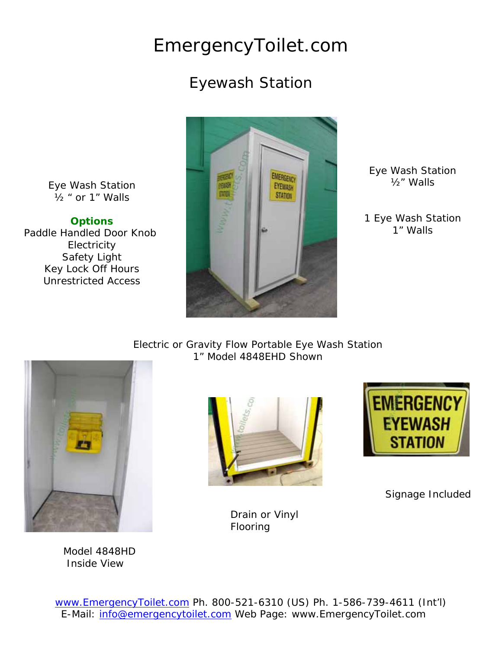## EmergencyToilet.com

### Eyewash Station

Eye Wash Station ½ " or 1" Walls

**Options**  Paddle Handled Door Knob Electricity Safety Light Key Lock Off Hours Unrestricted Access



Eye Wash Station ½" Walls

1 Eye Wash Station 1" Walls

Electric or Gravity Flow Portable Eye Wash Station 1" Model 4848EHD Shown



 Model 4848HD Inside View





Signage Included

Drain or Vinyl Flooring